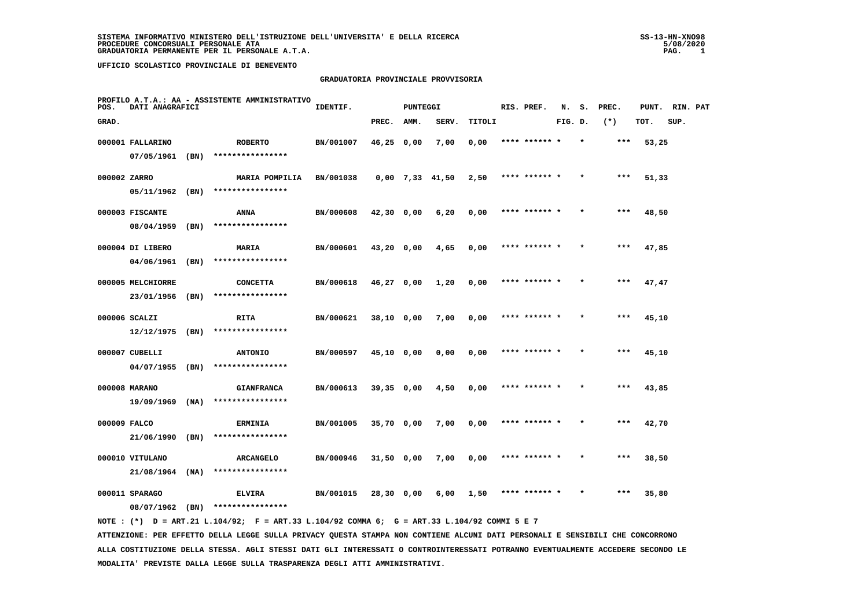#### **GRADUATORIA PROVINCIALE PROVVISORIA**

| POS.         | DATI ANAGRAFICI   |      | PROFILO A.T.A.: AA - ASSISTENTE AMMINISTRATIVO                                              | IDENTIF.  |              | <b>PUNTEGGI</b> |                   |        | RIS. PREF.    | N.      | s.      | PREC. | PUNT. | RIN. PAT |  |
|--------------|-------------------|------|---------------------------------------------------------------------------------------------|-----------|--------------|-----------------|-------------------|--------|---------------|---------|---------|-------|-------|----------|--|
| GRAD.        |                   |      |                                                                                             |           | PREC.        | AMM.            | SERV.             | TITOLI |               | FIG. D. |         | $(*)$ | TOT.  | SUP.     |  |
|              | 000001 FALLARINO  |      | <b>ROBERTO</b>                                                                              | BN/001007 | $46,25$ 0,00 |                 | 7,00              | 0,00   | **** ****** * |         | $\star$ | ***   | 53,25 |          |  |
|              | 07/05/1961        | (BN) | ****************                                                                            |           |              |                 |                   |        |               |         |         |       |       |          |  |
| 000002 ZARRO |                   |      | MARIA POMPILIA                                                                              | BN/001038 |              |                 | $0,00$ 7,33 41,50 | 2,50   | **** ****** * |         |         | $***$ | 51,33 |          |  |
|              | 05/11/1962 (BN)   |      | ****************                                                                            |           |              |                 |                   |        |               |         |         |       |       |          |  |
|              | 000003 FISCANTE   |      | ANNA                                                                                        | BN/000608 | $42,30$ 0,00 |                 | 6,20              | 0,00   | **** ******   |         |         | ***   | 48,50 |          |  |
|              | 08/04/1959        | (BN) | ****************                                                                            |           |              |                 |                   |        |               |         |         |       |       |          |  |
|              | 000004 DI LIBERO  |      | MARIA                                                                                       | BN/000601 | 43,20 0,00   |                 | 4,65              | 0,00   | **** ****** * |         |         | ***   | 47,85 |          |  |
|              | 04/06/1961        | (BN) | ****************                                                                            |           |              |                 |                   |        |               |         |         |       |       |          |  |
|              | 000005 MELCHIORRE |      | <b>CONCETTA</b>                                                                             | BN/000618 | $46,27$ 0,00 |                 | 1,20              | 0,00   | **** ******   |         |         | $***$ | 47,47 |          |  |
|              | 23/01/1956        | (BN) | ****************                                                                            |           |              |                 |                   |        |               |         |         |       |       |          |  |
|              | 000006 SCALZI     |      | RITA                                                                                        | BN/000621 | 38,10 0,00   |                 | 7,00              | 0,00   | **** ****** * |         |         | ***   | 45,10 |          |  |
|              | 12/12/1975        | (BN) | ****************                                                                            |           |              |                 |                   |        |               |         |         |       |       |          |  |
|              | 000007 CUBELLI    |      | <b>ANTONIO</b>                                                                              | BN/000597 | 45,10 0,00   |                 | 0,00              | 0,00   | **** ****** * |         |         | $***$ | 45,10 |          |  |
|              | 04/07/1955        | (BN) | ****************                                                                            |           |              |                 |                   |        |               |         |         |       |       |          |  |
|              | 000008 MARANO     |      | <b>GIANFRANCA</b>                                                                           | BN/000613 | $39,35$ 0,00 |                 | 4,50              | 0,00   | **** ****** * |         |         | $***$ | 43,85 |          |  |
|              | 19/09/1969        | (NA) | ****************                                                                            |           |              |                 |                   |        |               |         |         |       |       |          |  |
| 000009 FALCO |                   |      | <b>ERMINIA</b>                                                                              | BN/001005 | 35,70 0,00   |                 | 7,00              | 0,00   | **** ****** * |         |         | $***$ | 42,70 |          |  |
|              | 21/06/1990        | (BN) | ****************                                                                            |           |              |                 |                   |        |               |         |         |       |       |          |  |
|              | 000010 VITULANO   |      | <b>ARCANGELO</b>                                                                            | BN/000946 | $31,50$ 0,00 |                 | 7,00              | 0,00   | **** ****** * |         |         | ***   | 38,50 |          |  |
|              | 21/08/1964        | (NA) | ****************                                                                            |           |              |                 |                   |        |               |         |         |       |       |          |  |
|              | 000011 SPARAGO    |      | <b>ELVIRA</b>                                                                               | BN/001015 | 28,30 0,00   |                 | 6,00              | 1,50   | **** ****** * |         |         | ***   | 35,80 |          |  |
|              | 08/07/1962 (BN)   |      | ****************                                                                            |           |              |                 |                   |        |               |         |         |       |       |          |  |
|              |                   |      | NOTE: (*) D = ART.21 L.104/92; F = ART.33 L.104/92 COMMA 6; G = ART.33 L.104/92 COMMI 5 E 7 |           |              |                 |                   |        |               |         |         |       |       |          |  |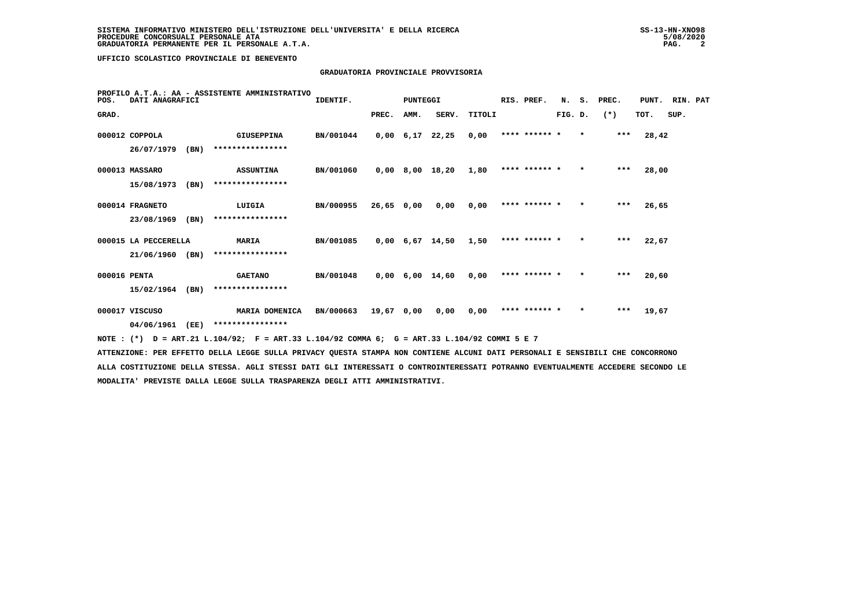## **GRADUATORIA PROVINCIALE PROVVISORIA**

| POS.         | DATI ANAGRAFICI      |      | PROFILO A.T.A.: AA - ASSISTENTE AMMINISTRATIVO | IDENTIF.  |       | <b>PUNTEGGI</b> |                   |        | RIS. PREF.    | N.      | s.      | PREC. | PUNT. | RIN. PAT |  |
|--------------|----------------------|------|------------------------------------------------|-----------|-------|-----------------|-------------------|--------|---------------|---------|---------|-------|-------|----------|--|
| GRAD.        |                      |      |                                                |           | PREC. | AMM.            | SERV.             | TITOLI |               | FIG. D. |         | $(*)$ | TOT.  | SUP.     |  |
|              | 000012 COPPOLA       |      | <b>GIUSEPPINA</b>                              | BN/001044 |       | $0,00$ $6,17$   | 22,25             | 0.00   | **** ****** * |         | $\star$ | $***$ | 28,42 |          |  |
|              | 26/07/1979           | (BN) | ****************                               |           |       |                 |                   |        |               |         |         |       |       |          |  |
|              | 000013 MASSARO       |      | <b>ASSUNTINA</b>                               | BN/001060 | 0,00  |                 | 8,00 18,20        | 1,80   | **** ****** * |         | $\star$ | $***$ | 28,00 |          |  |
|              | 15/08/1973           | (BN) | ****************                               |           |       |                 |                   |        |               |         |         |       |       |          |  |
|              | 000014 FRAGNETO      |      | LUIGIA                                         | BN/000955 | 26,65 | 0,00            | 0,00              | 0,00   | **** ****** * |         | $\star$ | $***$ | 26,65 |          |  |
|              | 23/08/1969           | (BN) | ****************                               |           |       |                 |                   |        |               |         |         |       |       |          |  |
|              | 000015 LA PECCERELLA |      | <b>MARIA</b>                                   | BN/001085 | 0,00  |                 | 6,67 14,50        | 1,50   | **** ****** * |         | $\star$ | $***$ | 22,67 |          |  |
|              | 21/06/1960           | (BN) | ****************                               |           |       |                 |                   |        |               |         |         |       |       |          |  |
| 000016 PENTA |                      |      | <b>GAETANO</b>                                 | BN/001048 |       |                 | $0,00$ 6,00 14,60 | 0.00   | **** ****** * |         | $\star$ | $***$ | 20,60 |          |  |
|              | 15/02/1964           | (BN) | ****************                               |           |       |                 |                   |        |               |         |         |       |       |          |  |
|              | 000017 VISCUSO       |      | MARIA DOMENICA                                 | BN/000663 | 19,67 | 0,00            | 0,00              | 0,00   | **** ****** * |         | $\star$ | $***$ | 19,67 |          |  |
|              | 04/06/1961           | (EE) | ****************                               |           |       |                 |                   |        |               |         |         |       |       |          |  |

 **NOTE : (\*) D = ART.21 L.104/92; F = ART.33 L.104/92 COMMA 6; G = ART.33 L.104/92 COMMI 5 E 7**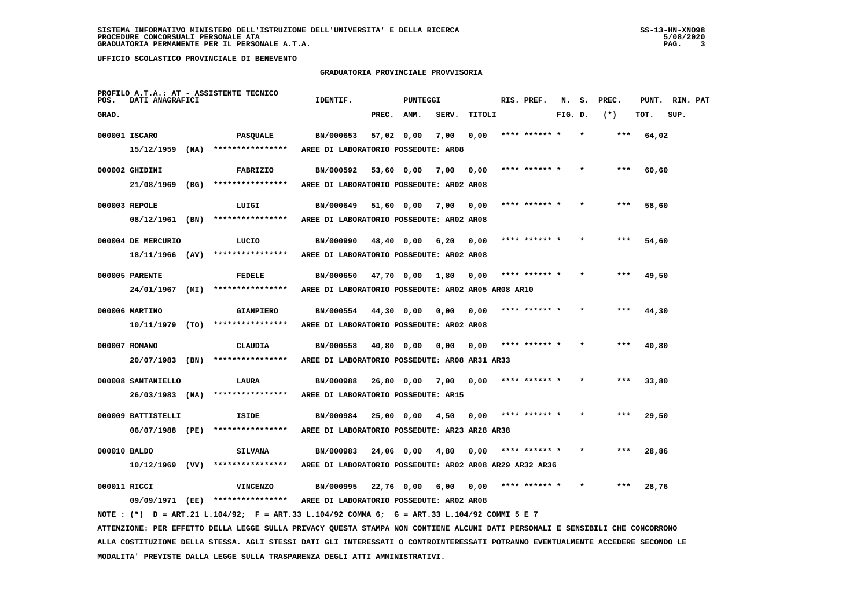#### **GRADUATORIA PROVINCIALE PROVVISORIA**

| POS.         | DATI ANAGRAFICI    |      | PROFILO A.T.A.: AT - ASSISTENTE TECNICO                                                                                       | IDENTIF.                                                |            | <b>PUNTEGGI</b> |       |        | RIS. PREF.    | N.      | s. | PREC. | PUNT. | RIN. PAT |  |
|--------------|--------------------|------|-------------------------------------------------------------------------------------------------------------------------------|---------------------------------------------------------|------------|-----------------|-------|--------|---------------|---------|----|-------|-------|----------|--|
| GRAD.        |                    |      |                                                                                                                               |                                                         | PREC.      | AMM.            | SERV. | TITOLI |               | FIG. D. |    | $(*)$ | TOT.  | SUP.     |  |
|              | 000001 ISCARO      |      | PASQUALE                                                                                                                      | BN/000653                                               | 57,02 0,00 |                 | 7,00  | 0,00   | **** ****** * |         |    | ***   | 64,02 |          |  |
|              | 15/12/1959         | (NA) | ****************                                                                                                              | AREE DI LABORATORIO POSSEDUTE: AR08                     |            |                 |       |        |               |         |    |       |       |          |  |
|              | 000002 GHIDINI     |      | FABRIZIO                                                                                                                      | BN/000592                                               | 53,60 0,00 |                 | 7,00  | 0,00   | **** ****** * |         |    |       | 60,60 |          |  |
|              | 21/08/1969         | (BG) | ****************                                                                                                              | AREE DI LABORATORIO POSSEDUTE: AR02 AR08                |            |                 |       |        |               |         |    |       |       |          |  |
|              |                    |      |                                                                                                                               |                                                         |            |                 |       |        |               |         |    |       |       |          |  |
|              | 000003 REPOLE      |      | LUIGI                                                                                                                         | BN/000649                                               | 51,60 0,00 |                 | 7,00  | 0,00   | **** ****** * |         |    | ***   | 58,60 |          |  |
|              | 08/12/1961 (BN)    |      | ****************                                                                                                              | AREE DI LABORATORIO POSSEDUTE: AR02 AR08                |            |                 |       |        |               |         |    |       |       |          |  |
|              | 000004 DE MERCURIO |      | LUCIO                                                                                                                         | BN/000990                                               |            | 48,40 0,00      | 6,20  | 0.00   | **** ****** * |         |    | ***   | 54,60 |          |  |
|              | 18/11/1966 (AV)    |      | ****************                                                                                                              | AREE DI LABORATORIO POSSEDUTE: AR02 AR08                |            |                 |       |        |               |         |    |       |       |          |  |
|              | 000005 PARENTE     |      | <b>FEDELE</b>                                                                                                                 | BN/000650                                               | 47,70 0,00 |                 | 1,80  | 0.00   | **** ****** * |         |    |       | 49,50 |          |  |
|              | 24/01/1967         | (MI) | ****************                                                                                                              | AREE DI LABORATORIO POSSEDUTE: AR02 AR05 AR08 AR10      |            |                 |       |        |               |         |    |       |       |          |  |
|              |                    |      |                                                                                                                               |                                                         |            |                 |       |        |               |         |    |       |       |          |  |
|              | 000006 MARTINO     |      | <b>GIANPIERO</b>                                                                                                              | BN/000554                                               | 44,30 0,00 |                 | 0,00  | 0,00   | **** ****** * |         |    | ***   | 44,30 |          |  |
|              | $10/11/1979$ (TO)  |      | ****************                                                                                                              | AREE DI LABORATORIO POSSEDUTE: AR02 AR08                |            |                 |       |        |               |         |    |       |       |          |  |
|              | 000007 ROMANO      |      | <b>CLAUDIA</b>                                                                                                                | BN/000558                                               | 40,80 0,00 |                 | 0,00  | 0,00   |               |         |    |       | 40,80 |          |  |
|              | 20/07/1983 (BN)    |      | ****************                                                                                                              | AREE DI LABORATORIO POSSEDUTE: AR08 AR31 AR33           |            |                 |       |        |               |         |    |       |       |          |  |
|              | 000008 SANTANIELLO |      | LAURA                                                                                                                         | BN/000988                                               | 26,80 0,00 |                 | 7,00  | 0,00   |               |         |    |       | 33,80 |          |  |
|              | 26/03/1983 (NA)    |      | ****************                                                                                                              | AREE DI LABORATORIO POSSEDUTE: AR15                     |            |                 |       |        |               |         |    |       |       |          |  |
|              |                    |      |                                                                                                                               |                                                         |            |                 |       |        |               |         |    |       |       |          |  |
|              | 000009 BATTISTELLI |      | ISIDE                                                                                                                         | BN/000984                                               | 25,00 0,00 |                 | 4,50  | 0.00   | **** ****** * |         |    | ***   | 29,50 |          |  |
|              | 06/07/1988 (PE)    |      | ****************                                                                                                              | AREE DI LABORATORIO POSSEDUTE: AR23 AR28 AR38           |            |                 |       |        |               |         |    |       |       |          |  |
| 000010 BALDO |                    |      | <b>SILVANA</b>                                                                                                                | BN/000983                                               | 24,06 0,00 |                 | 4,80  | 0,00   | **** ****** * |         |    |       | 28,86 |          |  |
|              | $10/12/1969$ (VV)  |      | ****************                                                                                                              | AREE DI LABORATORIO POSSEDUTE: AR02 AR08 AR29 AR32 AR36 |            |                 |       |        |               |         |    |       |       |          |  |
|              |                    |      |                                                                                                                               |                                                         |            |                 |       |        |               |         |    |       |       |          |  |
| 000011 RICCI |                    |      | <b>VINCENZO</b>                                                                                                               | BN/000995                                               | 22,76 0,00 |                 | 6,00  | 0,00   |               |         |    |       | 28,76 |          |  |
|              |                    |      | 09/09/1971 (EE) ****************                                                                                              | AREE DI LABORATORIO POSSEDUTE: AR02 AR08                |            |                 |       |        |               |         |    |       |       |          |  |
|              |                    |      | NOTE: (*) D = ART.21 L.104/92; F = ART.33 L.104/92 COMMA 6; G = ART.33 L.104/92 COMMI 5 E 7                                   |                                                         |            |                 |       |        |               |         |    |       |       |          |  |
|              |                    |      | ATTENZIONE: PER EFFETTO DELLA LEGGE SULLA PRIVACY QUESTA STAMPA NON CONTIENE ALCUNI DATI PERSONALI E SENSIBILI CHE CONCORRONO |                                                         |            |                 |       |        |               |         |    |       |       |          |  |

 **ALLA COSTITUZIONE DELLA STESSA. AGLI STESSI DATI GLI INTERESSATI O CONTROINTERESSATI POTRANNO EVENTUALMENTE ACCEDERE SECONDO LE MODALITA' PREVISTE DALLA LEGGE SULLA TRASPARENZA DEGLI ATTI AMMINISTRATIVI.**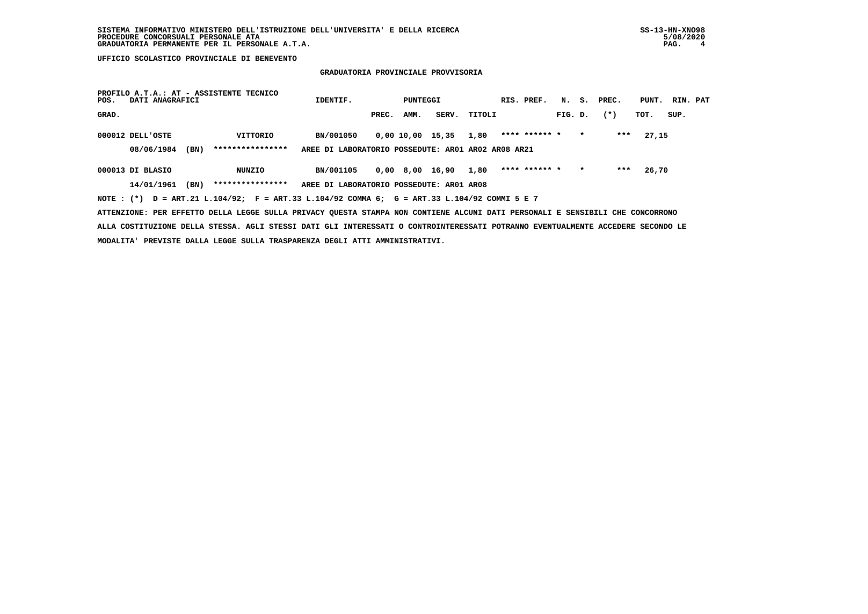## **GRADUATORIA PROVINCIALE PROVVISORIA**

| POS.  | DATI ANAGRAFICI  |      | PROFILO A.T.A.: AT - ASSISTENTE TECNICO | IDENTIF.                                                                                                                      |       | PUNTEGGI |                       |        | RIS. PREF.    |         |         | N. S. PREC. | PUNT. | RIN. PAT |  |
|-------|------------------|------|-----------------------------------------|-------------------------------------------------------------------------------------------------------------------------------|-------|----------|-----------------------|--------|---------------|---------|---------|-------------|-------|----------|--|
| GRAD. |                  |      |                                         |                                                                                                                               | PREC. | AMM.     | <b>SERV.</b>          | TITOLI |               | FIG. D. |         | $(*)$       | тот.  | SUP.     |  |
|       | 000012 DELL'OSTE |      | VITTORIO                                | BN/001050                                                                                                                     |       |          | 0,00 10,00 15,35 1,80 |        | **** ****** * |         | $\star$ | ***         | 27,15 |          |  |
|       | 08/06/1984       | (BN) | ****************                        | AREE DI LABORATORIO POSSEDUTE: AR01 AR02 AR08 AR21                                                                            |       |          |                       |        |               |         |         |             |       |          |  |
|       | 000013 DI BLASIO |      | NUNZIO                                  | BN/001105                                                                                                                     |       |          | 0,00 8,00 16,90       | 1,80   | **** ****** * |         | $\star$ | ***         | 26,70 |          |  |
|       | 14/01/1961       | (BN) | ****************                        | AREE DI LABORATORIO POSSEDUTE: AR01 AR08                                                                                      |       |          |                       |        |               |         |         |             |       |          |  |
|       |                  |      |                                         | NOTE: (*) D = ART.21 L.104/92; F = ART.33 L.104/92 COMMA 6; G = ART.33 L.104/92 COMMI 5 E 7                                   |       |          |                       |        |               |         |         |             |       |          |  |
|       |                  |      |                                         | ATTENZIONE: PER EFFETTO DELLA LEGGE SULLA PRIVACY QUESTA STAMPA NON CONTIENE ALCUNI DATI PERSONALI E SENSIBILI CHE CONCORRONO |       |          |                       |        |               |         |         |             |       |          |  |

 **ALLA COSTITUZIONE DELLA STESSA. AGLI STESSI DATI GLI INTERESSATI O CONTROINTERESSATI POTRANNO EVENTUALMENTE ACCEDERE SECONDO LE MODALITA' PREVISTE DALLA LEGGE SULLA TRASPARENZA DEGLI ATTI AMMINISTRATIVI.**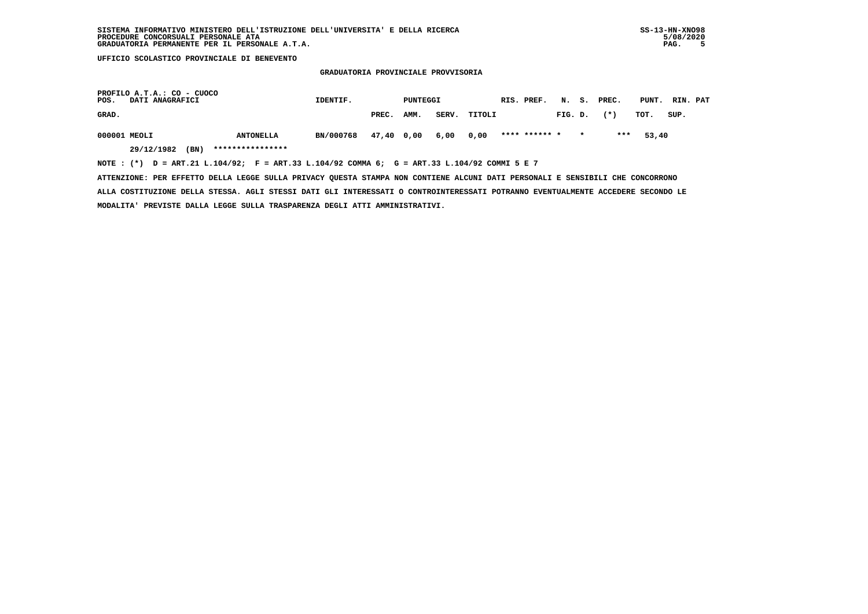**GRADUATORIA PROVINCIALE PROVVISORIA**

| PROFILO A.T.A.: CO - CUOCO<br>POS.<br><b>DATI ANAGRAFICI</b>                                | IDENTIF.  |            | PUNTEGGI |       |        | RIS. PREF.    |         | N. S. PREC. | PUNT. | RIN. PAT |  |
|---------------------------------------------------------------------------------------------|-----------|------------|----------|-------|--------|---------------|---------|-------------|-------|----------|--|
| GRAD.                                                                                       |           | PREC.      | AMM.     | SERV. | TITOLI |               | FIG. D. | $(* )$      | тот.  | SUP.     |  |
| 000001 MEOLI<br><b>ANTONELLA</b>                                                            | BN/000768 | 47,40 0,00 |          | 6,00  | 0,00   | **** ****** * |         | ***         | 53,40 |          |  |
| ****************<br>29/12/1982<br>(BN)                                                      |           |            |          |       |        |               |         |             |       |          |  |
| NOTE: (*) D = ART.21 L.104/92; F = ART.33 L.104/92 COMMA 6; G = ART.33 L.104/92 COMMI 5 E 7 |           |            |          |       |        |               |         |             |       |          |  |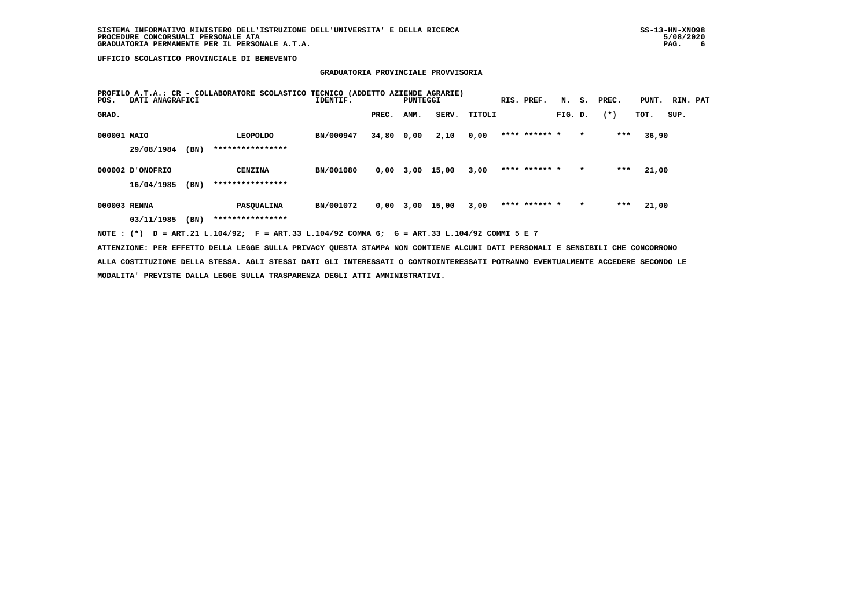## **GRADUATORIA PROVINCIALE PROVVISORIA**

| POS.         | DATI ANAGRAFICI  |      | PROFILO A.T.A.: CR - COLLABORATORE SCOLASTICO | TECNICO (ADDETTO AZIENDE AGRARIE)<br>IDENTIF. |       | PUNTEGGI |       |        | RIS. PREF.    | N.      | s.      | PREC.  | PUNT. | RIN. PAT |  |
|--------------|------------------|------|-----------------------------------------------|-----------------------------------------------|-------|----------|-------|--------|---------------|---------|---------|--------|-------|----------|--|
| GRAD.        |                  |      |                                               |                                               | PREC. | AMM.     | SERV. | TITOLI |               | FIG. D. |         | $(* )$ | TOT.  | SUP.     |  |
| 000001 MAIO  |                  |      | <b>LEOPOLDO</b>                               | BN/000947                                     | 34,80 | 0,00     | 2,10  | 0,00   | **** ****** * |         | $\star$ | $***$  | 36,90 |          |  |
|              | 29/08/1984       | (BN) | ****************                              |                                               |       |          |       |        |               |         |         |        |       |          |  |
|              | 000002 D'ONOFRIO |      | <b>CENZINA</b>                                | BN/001080                                     | 0,00  | 3,00     | 15,00 | 3,00   | **** ****** * |         | $\star$ | ***    | 21,00 |          |  |
|              | 16/04/1985       | (BN) | ****************                              |                                               |       |          |       |        |               |         |         |        |       |          |  |
| 000003 RENNA |                  |      | PASOUALINA                                    | BN/001072                                     | 0,00  | 3,00     | 15,00 | 3,00   | **** ****** * |         | $\star$ | $***$  | 21,00 |          |  |
|              | 03/11/1985       | (BN) | ****************                              |                                               |       |          |       |        |               |         |         |        |       |          |  |

 **NOTE : (\*) D = ART.21 L.104/92; F = ART.33 L.104/92 COMMA 6; G = ART.33 L.104/92 COMMI 5 E 7**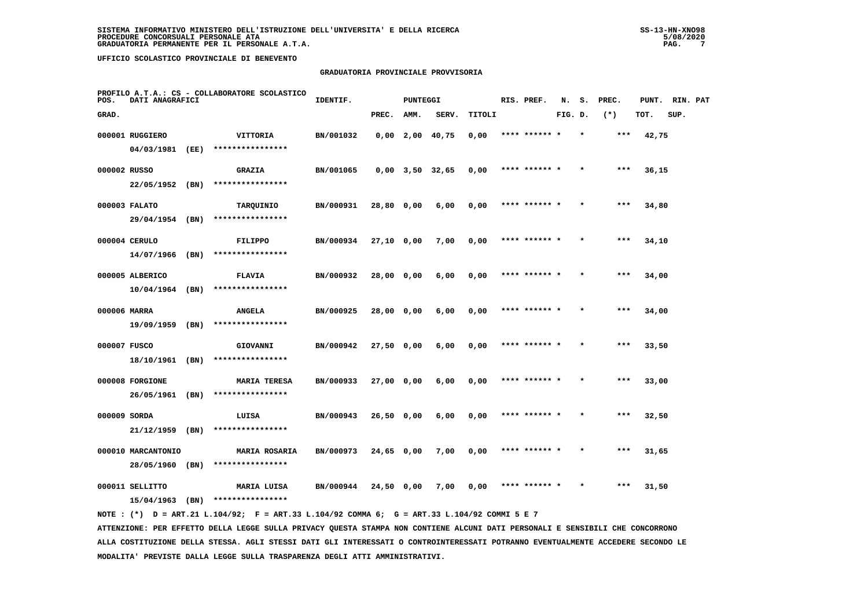# **GRADUATORIA PROVINCIALE PROVVISORIA**

| POS.         | DATI ANAGRAFICI                    |      | PROFILO A.T.A.: CS - COLLABORATORE SCOLASTICO | IDENTIF.  |              | <b>PUNTEGGI</b> |                       |        | RIS. PREF.    | N.      | s.      | PREC. | PUNT. | RIN. PAT |  |
|--------------|------------------------------------|------|-----------------------------------------------|-----------|--------------|-----------------|-----------------------|--------|---------------|---------|---------|-------|-------|----------|--|
| GRAD.        |                                    |      |                                               |           | PREC.        | AMM.            | SERV.                 | TITOLI |               | FIG. D. |         | $(*)$ | TOT.  | SUP.     |  |
|              | 000001 RUGGIERO                    |      | VITTORIA                                      | BN/001032 |              |                 | $0,00$ 2,00 40,75     | 0,00   | **** ****** * |         |         | ***   | 42,75 |          |  |
|              | 04/03/1981 (EE)                    |      | ****************                              |           |              |                 |                       |        |               |         |         |       |       |          |  |
| 000002 RUSSO |                                    |      | <b>GRAZIA</b>                                 | BN/001065 |              |                 | $0,00$ $3,50$ $32,65$ | 0,00   | **** ****** * |         |         | ***   | 36,15 |          |  |
|              | 22/05/1952 (BN)                    |      | ****************                              |           |              |                 |                       |        |               |         |         |       |       |          |  |
|              | 000003 FALATO                      |      | TARQUINIO                                     | BN/000931 | 28,80 0,00   |                 | 6,00                  | 0,00   | **** ****** * |         |         | $***$ | 34,80 |          |  |
|              | 29/04/1954 (BN)                    |      | ****************                              |           |              |                 |                       |        |               |         |         |       |       |          |  |
|              | 000004 CERULO                      |      | FILIPPO                                       | BN/000934 | $27,10$ 0,00 |                 | 7,00                  | 0,00   | **** ****** * |         | $\star$ | ***   | 34,10 |          |  |
|              | 14/07/1966                         | (BN) | ****************                              |           |              |                 |                       |        |               |         |         |       |       |          |  |
|              | 000005 ALBERICO                    |      | <b>FLAVIA</b>                                 | BN/000932 | 28,00 0,00   |                 | 6,00                  | 0,00   | **** ****** * |         |         | $***$ | 34,00 |          |  |
|              | $10/04/1964$ (BN)                  |      | ****************                              |           |              |                 |                       |        |               |         |         |       |       |          |  |
| 000006 MARRA |                                    |      | <b>ANGELA</b><br>****************             | BN/000925 | 28,00 0,00   |                 | 6,00                  | 0,00   | **** ****** * |         |         | ***   | 34,00 |          |  |
|              | 19/09/1959 (BN)                    |      |                                               |           |              |                 |                       |        |               |         |         |       |       |          |  |
| 000007 FUSCO | 18/10/1961 (BN)                    |      | GIOVANNI<br>****************                  | BN/000942 | 27,50 0,00   |                 | 6,00                  | 0,00   | **** ****** * |         |         | ***   | 33,50 |          |  |
|              |                                    |      |                                               |           |              |                 |                       |        |               |         |         |       |       |          |  |
|              | 000008 FORGIONE<br>26/05/1961 (BN) |      | <b>MARIA TERESA</b><br>****************       | BN/000933 | 27,00 0,00   |                 | 6,00                  | 0,00   | **** ****** * |         |         | ***   | 33,00 |          |  |
| 000009 SORDA |                                    |      | LUISA                                         | BN/000943 | $26,50$ 0,00 |                 | 6,00                  | 0,00   | **** ******   |         |         | $***$ | 32,50 |          |  |
|              | 21/12/1959 (BN)                    |      | ****************                              |           |              |                 |                       |        |               |         |         |       |       |          |  |
|              | 000010 MARCANTONIO                 |      | <b>MARIA ROSARIA</b>                          | BN/000973 | $24,65$ 0,00 |                 | 7,00                  | 0,00   | **** ****** * |         |         | $***$ | 31,65 |          |  |
|              | 28/05/1960 (BN)                    |      | ****************                              |           |              |                 |                       |        |               |         |         |       |       |          |  |
|              | 000011 SELLITTO                    |      | MARIA LUISA                                   | BN/000944 | 24,50 0,00   |                 | 7,00                  | 0,00   | **** ****** * |         | $\star$ | ***   | 31,50 |          |  |
|              | 15/04/1963                         | (BN) | ****************                              |           |              |                 |                       |        |               |         |         |       |       |          |  |
|              |                                    |      |                                               |           |              |                 |                       |        |               |         |         |       |       |          |  |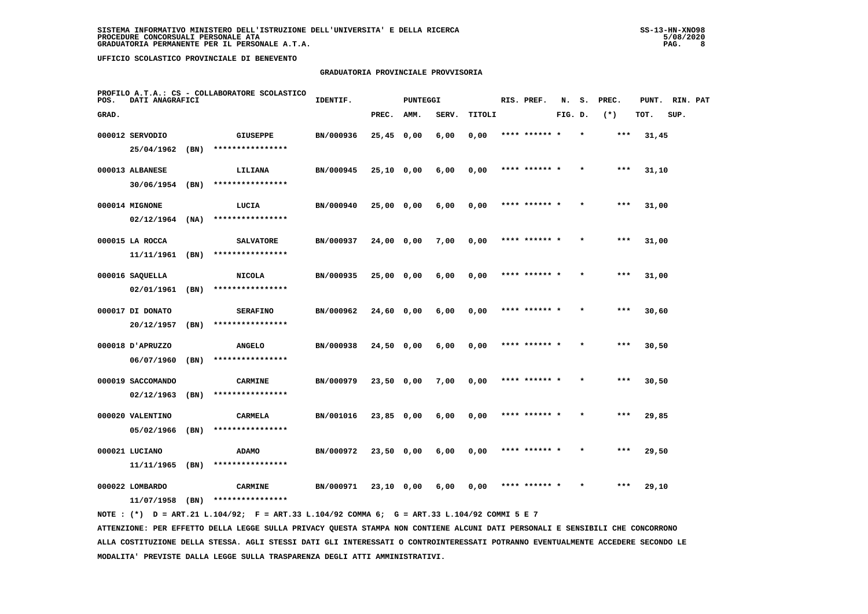# **GRADUATORIA PROVINCIALE PROVVISORIA**

| POS.  | DATI ANAGRAFICI   |      | PROFILO A.T.A.: CS - COLLABORATORE SCOLASTICO | IDENTIF.  |              | <b>PUNTEGGI</b> |       |        | RIS. PREF.    | N.      | s. | PREC. | PUNT. | RIN. PAT |  |
|-------|-------------------|------|-----------------------------------------------|-----------|--------------|-----------------|-------|--------|---------------|---------|----|-------|-------|----------|--|
| GRAD. |                   |      |                                               |           | PREC.        | AMM.            | SERV. | TITOLI |               | FIG. D. |    | $(*)$ | TOT.  | SUP.     |  |
|       | 000012 SERVODIO   |      | <b>GIUSEPPE</b>                               | BN/000936 | $25,45$ 0,00 |                 | 6,00  | 0,00   | **** ****** * |         |    | ***   | 31,45 |          |  |
|       | 25/04/1962        | (BN) | ****************                              |           |              |                 |       |        |               |         |    |       |       |          |  |
|       | 000013 ALBANESE   |      | LILIANA                                       | BN/000945 | $25,10$ 0,00 |                 | 6,00  | 0,00   | **** ****** * |         |    | $***$ | 31,10 |          |  |
|       | $30/06/1954$ (BN) |      | ****************                              |           |              |                 |       |        |               |         |    |       |       |          |  |
|       | 000014 MIGNONE    |      | LUCIA                                         | BN/000940 | 25,00 0,00   |                 | 6,00  | 0,00   | **** ****** * |         |    | $***$ | 31,00 |          |  |
|       | 02/12/1964        | (NA) | ****************                              |           |              |                 |       |        |               |         |    |       |       |          |  |
|       | 000015 LA ROCCA   |      | <b>SALVATORE</b>                              | BN/000937 | $24,00$ 0,00 |                 | 7,00  | 0,00   | **** ****** * |         |    | $***$ | 31,00 |          |  |
|       | 11/11/1961        | (BN) | ****************                              |           |              |                 |       |        |               |         |    |       |       |          |  |
|       | 000016 SAQUELLA   |      | <b>NICOLA</b>                                 | BN/000935 | 25,00 0,00   |                 | 6,00  | 0,00   | **** ****** * |         |    | $***$ | 31,00 |          |  |
|       | 02/01/1961        | (BN) | ****************                              |           |              |                 |       |        |               |         |    |       |       |          |  |
|       | 000017 DI DONATO  |      | <b>SERAFINO</b>                               | BN/000962 | 24,60 0,00   |                 | 6,00  | 0,00   | **** ****** * |         |    | $***$ | 30,60 |          |  |
|       | 20/12/1957        | (BN) | ****************                              |           |              |                 |       |        |               |         |    |       |       |          |  |
|       | 000018 J'APRUZZO  |      | <b>ANGELO</b>                                 | BN/000938 | $24,50$ 0,00 |                 | 6,00  | 0,00   | **** ****** * |         |    | ***   | 30,50 |          |  |
|       | 06/07/1960        | (BN) | ****************                              |           |              |                 |       |        |               |         |    |       |       |          |  |
|       | 000019 SACCOMANDO |      | <b>CARMINE</b>                                | BN/000979 | 23,50 0,00   |                 | 7,00  | 0,00   | **** ******   |         |    | ***   | 30,50 |          |  |
|       | 02/12/1963        | (BN) | ****************                              |           |              |                 |       |        |               |         |    |       |       |          |  |
|       | 000020 VALENTINO  |      | <b>CARMELA</b>                                | BN/001016 | $23,85$ 0,00 |                 | 6,00  | 0,00   | **** ****** * |         |    | $***$ | 29,85 |          |  |
|       | 05/02/1966        | (BN) | ****************                              |           |              |                 |       |        |               |         |    |       |       |          |  |
|       | 000021 LUCIANO    |      | <b>ADAMO</b>                                  | BN/000972 | 23,50 0,00   |                 | 6,00  | 0,00   | **** ****** * |         |    | ***   | 29,50 |          |  |
|       | 11/11/1965        | (BN) | ****************                              |           |              |                 |       |        |               |         |    |       |       |          |  |
|       | 000022 LOMBARDO   |      | <b>CARMINE</b>                                | BN/000971 | 23,10 0,00   |                 | 6,00  | 0,00   |               |         |    | ***   | 29,10 |          |  |
|       | 11/07/1958        | (BN) | ****************                              |           |              |                 |       |        |               |         |    |       |       |          |  |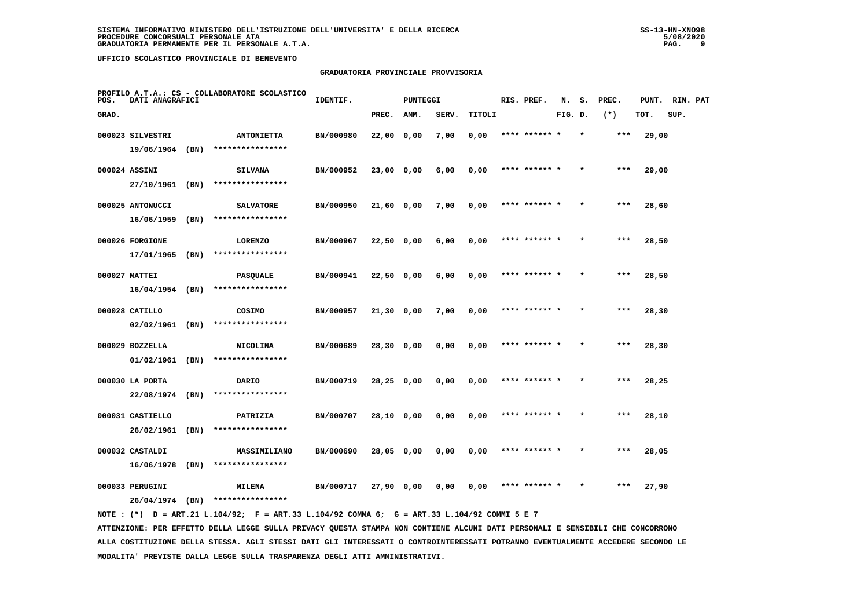# **GRADUATORIA PROVINCIALE PROVVISORIA**

| POS.  | DATI ANAGRAFICI   |      | PROFILO A.T.A.: CS - COLLABORATORE SCOLASTICO | IDENTIF.  |              | <b>PUNTEGGI</b> |       |        | RIS. PREF.    | N.      | s.      | PREC. | PUNT. | RIN. PAT |  |
|-------|-------------------|------|-----------------------------------------------|-----------|--------------|-----------------|-------|--------|---------------|---------|---------|-------|-------|----------|--|
| GRAD. |                   |      |                                               |           | PREC.        | AMM.            | SERV. | TITOLI |               | FIG. D. |         | $(*)$ | TOT.  | SUP.     |  |
|       | 000023 SILVESTRI  |      | <b>ANTONIETTA</b>                             | BN/000980 | $22,00$ 0,00 |                 | 7,00  | 0,00   | **** ****** * |         | $\star$ | $***$ | 29,00 |          |  |
|       | 19/06/1964        | (BN) | ****************                              |           |              |                 |       |        |               |         |         |       |       |          |  |
|       | 000024 ASSINI     |      | <b>SILVANA</b>                                | BN/000952 | $23,00$ 0,00 |                 | 6,00  | 0,00   | **** ****** * |         |         | ***   | 29,00 |          |  |
|       | 27/10/1961        | (BN) | ****************                              |           |              |                 |       |        |               |         |         |       |       |          |  |
|       | 000025 ANTONUCCI  |      | <b>SALVATORE</b>                              | BN/000950 | 21,60 0,00   |                 | 7,00  | 0,00   | **** ****** * |         |         | $***$ | 28,60 |          |  |
|       | 16/06/1959        | (BN) | ****************                              |           |              |                 |       |        |               |         |         |       |       |          |  |
|       | 000026 FORGIONE   |      | <b>LORENZO</b>                                | BN/000967 | 22,50 0,00   |                 | 6,00  | 0,00   | **** ****** * |         |         | $***$ | 28,50 |          |  |
|       | 17/01/1965        | (BN) | ****************                              |           |              |                 |       |        |               |         |         |       |       |          |  |
|       | 000027 MATTEI     |      | <b>PASQUALE</b>                               | BN/000941 | 22,50 0,00   |                 | 6,00  | 0,00   | **** ****** * |         |         | $***$ | 28,50 |          |  |
|       | $16/04/1954$ (BN) |      | ****************                              |           |              |                 |       |        |               |         |         |       |       |          |  |
|       | 000028 CATILLO    |      | COSIMO                                        | BN/000957 | $21,30$ 0,00 |                 | 7,00  | 0,00   |               |         |         | ***   | 28,30 |          |  |
|       | 02/02/1961        | (BN) | ****************                              |           |              |                 |       |        |               |         |         |       |       |          |  |
|       | 000029 BOZZELLA   |      | <b>NICOLINA</b>                               | BN/000689 | $28,30$ 0,00 |                 | 0,00  | 0,00   | **** ******   |         |         | $***$ | 28,30 |          |  |
|       | 01/02/1961        | (BN) | ****************                              |           |              |                 |       |        |               |         |         |       |       |          |  |
|       | 000030 LA PORTA   |      | DARIO                                         | BN/000719 | 28,25 0,00   |                 | 0,00  | 0,00   | **** ******   |         |         | $***$ | 28,25 |          |  |
|       | 22/08/1974        | (BN) | ****************                              |           |              |                 |       |        |               |         |         |       |       |          |  |
|       | 000031 CASTIELLO  |      | PATRIZIA                                      | BN/000707 | 28,10 0,00   |                 | 0,00  | 0,00   | **** ****** * |         |         | ***   | 28,10 |          |  |
|       | 26/02/1961        | (BN) | ****************                              |           |              |                 |       |        |               |         |         |       |       |          |  |
|       | 000032 CASTALDI   |      | MASSIMILIANO                                  | BN/000690 | 28,05 0,00   |                 | 0,00  | 0,00   | **** ****** * |         |         | ***   | 28,05 |          |  |
|       | 16/06/1978        | (BN) | ****************                              |           |              |                 |       |        |               |         |         |       |       |          |  |
|       | 000033 PERUGINI   |      | <b>MILENA</b>                                 | BN/000717 | 27,90 0,00   |                 | 0.00  | 0.00   | **** ****** * |         |         | ***   | 27,90 |          |  |
|       | 26/04/1974        | (BN) | ****************                              |           |              |                 |       |        |               |         |         |       |       |          |  |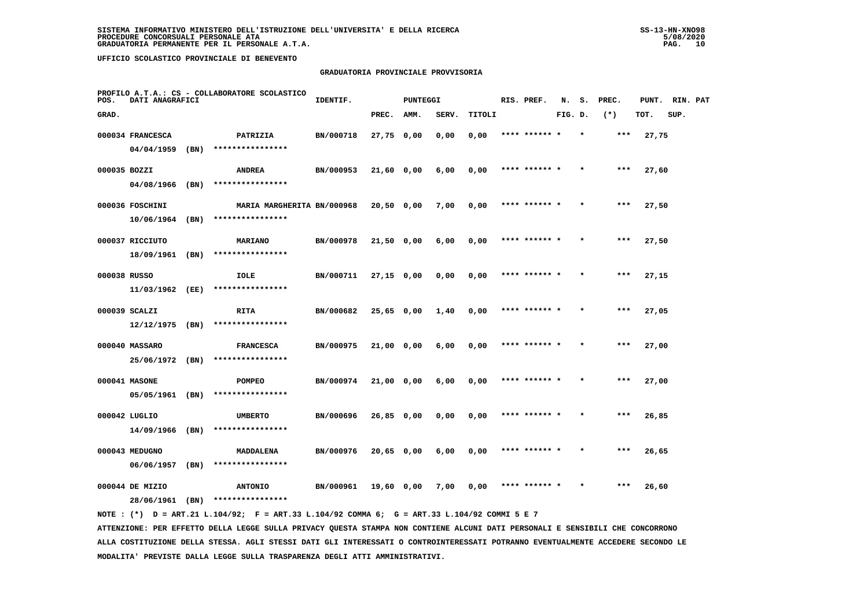# **GRADUATORIA PROVINCIALE PROVVISORIA**

| POS.         | DATI ANAGRAFICI   |      | PROFILO A.T.A.: CS - COLLABORATORE SCOLASTICO | IDENTIF.  |              | <b>PUNTEGGI</b> |       |        | RIS. PREF.    | N.      | s. | PREC. | PUNT. | RIN. PAT |  |
|--------------|-------------------|------|-----------------------------------------------|-----------|--------------|-----------------|-------|--------|---------------|---------|----|-------|-------|----------|--|
| GRAD.        |                   |      |                                               |           | PREC.        | AMM.            | SERV. | TITOLI |               | FIG. D. |    | $(*)$ | TOT.  | SUP.     |  |
|              | 000034 FRANCESCA  |      | PATRIZIA                                      | BN/000718 | 27,75 0,00   |                 | 0,00  | 0,00   | **** ****** * |         |    | ***   | 27,75 |          |  |
|              | 04/04/1959        | (BN) | ****************                              |           |              |                 |       |        |               |         |    |       |       |          |  |
| 000035 BOZZI |                   |      | <b>ANDREA</b>                                 | BN/000953 | 21,60 0,00   |                 | 6,00  | 0,00   | **** ****** * |         |    | $***$ | 27,60 |          |  |
|              | 04/08/1966 (BN)   |      | ****************                              |           |              |                 |       |        |               |         |    |       |       |          |  |
|              | 000036 FOSCHINI   |      | MARIA MARGHERITA BN/000968                    |           | 20,50 0,00   |                 | 7,00  | 0,00   | **** ****** * |         |    | ***   | 27,50 |          |  |
|              | 10/06/1964        | (BN) | ****************                              |           |              |                 |       |        |               |         |    |       |       |          |  |
|              | 000037 RICCIUTO   |      | <b>MARIANO</b>                                | BN/000978 | 21,50 0,00   |                 | 6,00  | 0,00   | **** ****** * |         |    | ***   | 27,50 |          |  |
|              | 18/09/1961        | (BN) | ****************                              |           |              |                 |       |        |               |         |    |       |       |          |  |
| 000038 RUSSO |                   |      | IOLE                                          | BN/000711 | $27,15$ 0,00 |                 | 0,00  | 0,00   | **** ****** * |         |    | $***$ | 27,15 |          |  |
|              | 11/03/1962 (EE)   |      | ****************                              |           |              |                 |       |        |               |         |    |       |       |          |  |
|              | 000039 SCALZI     |      | <b>RITA</b>                                   | BN/000682 | $25,65$ 0,00 |                 | 1,40  | 0,00   | **** ****** * |         |    | $***$ | 27,05 |          |  |
|              | $12/12/1975$ (BN) |      | ****************                              |           |              |                 |       |        |               |         |    |       |       |          |  |
|              | 000040 MASSARO    |      | <b>FRANCESCA</b>                              | BN/000975 | 21,00 0,00   |                 | 6,00  | 0,00   | **** ****** * |         |    | $***$ | 27,00 |          |  |
|              | 25/06/1972 (BN)   |      | ****************                              |           |              |                 |       |        |               |         |    |       |       |          |  |
|              | 000041 MASONE     |      | POMPEO                                        | BN/000974 | 21,00 0,00   |                 | 6,00  | 0,00   |               |         |    | ***   | 27,00 |          |  |
|              | 05/05/1961 (BN)   |      | ****************                              |           |              |                 |       |        |               |         |    |       |       |          |  |
|              | 000042 LUGLIO     |      | <b>UMBERTO</b>                                | BN/000696 | $26,85$ 0,00 |                 | 0,00  | 0,00   | **** ****** * |         |    | ***   | 26,85 |          |  |
|              | 14/09/1966        | (BN) | ****************                              |           |              |                 |       |        |               |         |    |       |       |          |  |
|              | 000043 MEDUGNO    |      | MADDALENA                                     | BN/000976 | 20,65 0,00   |                 | 6,00  | 0,00   | **** ****** * |         |    | ***   | 26,65 |          |  |
|              | 06/06/1957        | (BN) | ****************                              |           |              |                 |       |        |               |         |    |       |       |          |  |
|              | 000044 DE MIZIO   |      | <b>ANTONIO</b>                                | BN/000961 | 19,60 0,00   |                 | 7,00  | 0,00   | **** ****** * |         |    | ***   | 26,60 |          |  |
|              | 28/06/1961        | (BN) | ****************                              |           |              |                 |       |        |               |         |    |       |       |          |  |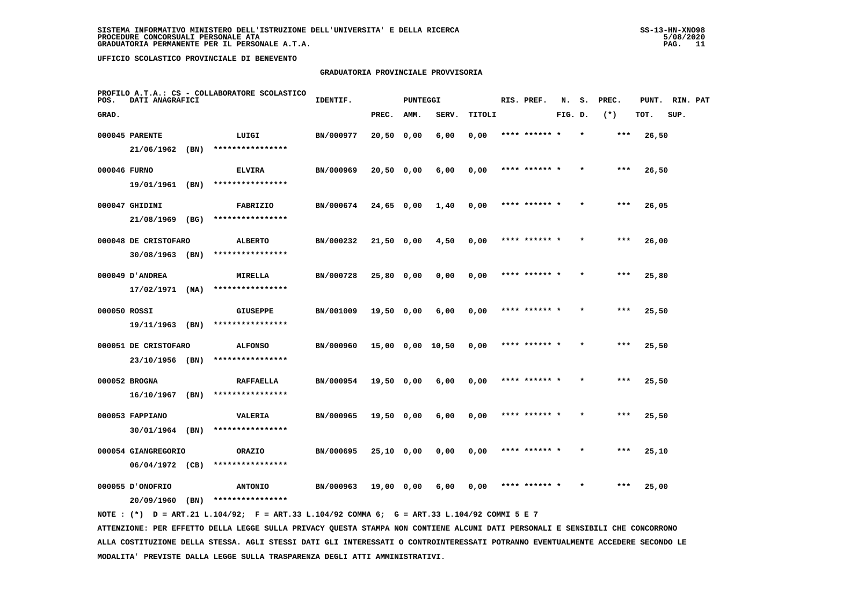## **GRADUATORIA PROVINCIALE PROVVISORIA**

| POS.         | DATI ANAGRAFICI      |      | PROFILO A.T.A.: CS - COLLABORATORE SCOLASTICO | IDENTIF.  |              | <b>PUNTEGGI</b> |                  |        | RIS. PREF.    | N.      | s.      | PREC. | PUNT. | RIN. PAT |  |
|--------------|----------------------|------|-----------------------------------------------|-----------|--------------|-----------------|------------------|--------|---------------|---------|---------|-------|-------|----------|--|
| GRAD.        |                      |      |                                               |           | PREC.        | AMM.            | SERV.            | TITOLI |               | FIG. D. |         | $(*)$ | TOT.  | SUP.     |  |
|              | 000045 PARENTE       |      | LUIGI                                         | BN/000977 | 20,50 0,00   |                 | 6,00             | 0,00   | **** ****** * |         |         | ***   | 26,50 |          |  |
|              | 21/06/1962 (BN)      |      | ****************                              |           |              |                 |                  |        |               |         |         |       |       |          |  |
| 000046 FURNO |                      |      | <b>ELVIRA</b>                                 | BN/000969 | 20,50 0,00   |                 | 6,00             | 0,00   | **** ****** * |         |         | ***   | 26,50 |          |  |
|              | 19/01/1961 (BN)      |      | ****************                              |           |              |                 |                  |        |               |         |         |       |       |          |  |
|              | 000047 GHIDINI       |      | FABRIZIO                                      | BN/000674 | $24,65$ 0,00 |                 | 1,40             | 0,00   | **** ****** * |         |         | $***$ | 26,05 |          |  |
|              | 21/08/1969 (BG)      |      | ****************                              |           |              |                 |                  |        |               |         |         |       |       |          |  |
|              | 000048 DE CRISTOFARO |      | <b>ALBERTO</b>                                | BN/000232 | 21,50 0,00   |                 | 4,50             | 0,00   | **** ****** * |         |         | ***   | 26,00 |          |  |
|              | $30/08/1963$ (BN)    |      | ****************                              |           |              |                 |                  |        |               |         |         |       |       |          |  |
|              | 000049 D'ANDREA      |      | <b>MIRELLA</b>                                | BN/000728 | $25,80$ 0,00 |                 | 0,00             | 0,00   | **** ****** * |         |         | $***$ | 25,80 |          |  |
|              | 17/02/1971           | (NA) | ****************                              |           |              |                 |                  |        |               |         |         |       |       |          |  |
| 000050 ROSSI |                      |      | <b>GIUSEPPE</b>                               | BN/001009 | 19,50 0,00   |                 | 6,00             | 0,00   | **** ****** * |         |         | $***$ | 25,50 |          |  |
|              | 19/11/1963 (BN)      |      | ****************                              |           |              |                 |                  |        |               |         |         |       |       |          |  |
|              | 000051 DE CRISTOFARO |      | <b>ALFONSO</b>                                | BN/000960 |              |                 | 15,00 0,00 10,50 | 0,00   | **** ****** * |         |         | ***   | 25,50 |          |  |
|              | 23/10/1956 (BN)      |      | ****************                              |           |              |                 |                  |        |               |         |         |       |       |          |  |
|              | 000052 BROGNA        |      | <b>RAFFAELLA</b>                              | BN/000954 | 19,50 0,00   |                 | 6,00             | 0,00   |               |         |         | ***   | 25,50 |          |  |
|              | 16/10/1967 (BN)      |      | ****************                              |           |              |                 |                  |        |               |         |         |       |       |          |  |
|              | 000053 FAPPIANO      |      | <b>VALERIA</b>                                | BN/000965 | 19,50 0,00   |                 | 6,00             | 0,00   | **** ****** * |         |         | $***$ | 25,50 |          |  |
|              | 30/01/1964 (BN)      |      | ****************                              |           |              |                 |                  |        |               |         |         |       |       |          |  |
|              | 000054 GIANGREGORIO  |      | ORAZIO                                        | BN/000695 | 25,10 0,00   |                 | 0,00             | 0,00   | **** ****** * |         | $\star$ | ***   | 25,10 |          |  |
|              | $06/04/1972$ (CB)    |      | ****************                              |           |              |                 |                  |        |               |         |         |       |       |          |  |
|              | 000055 ONOFRIO       |      | <b>ANTONIO</b>                                | BN/000963 | 19,00 0,00   |                 | 6,00             | 0,00   | **** ****** * |         |         | ***   | 25,00 |          |  |
|              | 20/09/1960           | (BN) | ****************                              |           |              |                 |                  |        |               |         |         |       |       |          |  |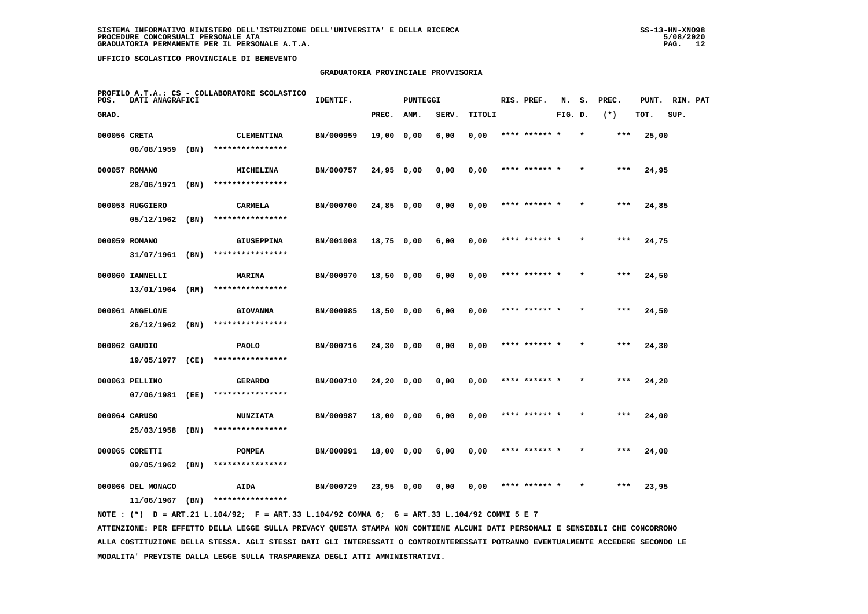## **GRADUATORIA PROVINCIALE PROVVISORIA**

| POS.         | DATI ANAGRAFICI   |      | PROFILO A.T.A.: CS - COLLABORATORE SCOLASTICO | IDENTIF.  |              | <b>PUNTEGGI</b> |       |        | RIS. PREF.    | N.      | s.      | PREC. | PUNT. | RIN. PAT |  |
|--------------|-------------------|------|-----------------------------------------------|-----------|--------------|-----------------|-------|--------|---------------|---------|---------|-------|-------|----------|--|
| GRAD.        |                   |      |                                               |           | PREC.        | AMM.            | SERV. | TITOLI |               | FIG. D. |         | $(*)$ | TOT.  | SUP.     |  |
| 000056 CRETA |                   |      | <b>CLEMENTINA</b>                             | BN/000959 | 19,00 0,00   |                 | 6,00  | 0,00   | **** ****** * |         | $\star$ | $***$ | 25,00 |          |  |
|              | 06/08/1959        | (BN) | ****************                              |           |              |                 |       |        |               |         |         |       |       |          |  |
|              | 000057 ROMANO     |      | MICHELINA                                     | BN/000757 | 24,95 0,00   |                 | 0,00  | 0,00   | **** ****** * |         |         | ***   | 24,95 |          |  |
|              | 28/06/1971 (BN)   |      | ****************                              |           |              |                 |       |        |               |         |         |       |       |          |  |
|              | 000058 RUGGIERO   |      | CARMELA                                       | BN/000700 | 24,85 0,00   |                 | 0,00  | 0,00   | **** ****** * |         |         | $***$ | 24,85 |          |  |
|              | 05/12/1962        | (BN) | ****************                              |           |              |                 |       |        |               |         |         |       |       |          |  |
|              | 000059 ROMANO     |      | <b>GIUSEPPINA</b>                             | BN/001008 | 18,75 0,00   |                 | 6,00  | 0,00   | **** ****** * |         |         | $***$ | 24,75 |          |  |
|              | 31/07/1961        | (BN) | ****************                              |           |              |                 |       |        |               |         |         |       |       |          |  |
|              | 000060 IANNELLI   |      | MARINA                                        | BN/000970 | 18,50 0,00   |                 | 6,00  | 0,00   | **** ****** * |         |         | $***$ | 24,50 |          |  |
|              | 13/01/1964        | (RM) | ****************                              |           |              |                 |       |        |               |         |         |       |       |          |  |
|              | 000061 ANGELONE   |      | <b>GIOVANNA</b>                               | BN/000985 | 18,50 0,00   |                 | 6,00  | 0,00   |               |         |         | ***   | 24,50 |          |  |
|              | 26/12/1962        | (BN) | ****************                              |           |              |                 |       |        |               |         |         |       |       |          |  |
|              | 000062 GAUDIO     |      | <b>PAOLO</b>                                  | BN/000716 | $24,30$ 0,00 |                 | 0,00  | 0,00   | **** ******   |         |         | ***   | 24,30 |          |  |
|              | 19/05/1977 (CE)   |      | ****************                              |           |              |                 |       |        |               |         |         |       |       |          |  |
|              | 000063 PELLINO    |      | <b>GERARDO</b>                                | BN/000710 | 24,20 0,00   |                 | 0,00  | 0,00   | **** ****** * |         |         | ***   | 24,20 |          |  |
|              | 07/06/1981        | (EE) | ****************                              |           |              |                 |       |        |               |         |         |       |       |          |  |
|              | 000064 CARUSO     |      | <b>NUNZIATA</b>                               | BN/000987 | 18,00 0,00   |                 | 6,00  | 0,00   | **** ****** * |         |         | $***$ | 24,00 |          |  |
|              | 25/03/1958        | (BN) | ****************                              |           |              |                 |       |        |               |         |         |       |       |          |  |
|              | 000065 CORETTI    |      | <b>POMPEA</b>                                 | BN/000991 | 18,00 0,00   |                 | 6,00  | 0,00   | **** ****** * |         |         | ***   | 24,00 |          |  |
|              | 09/05/1962        | (BN) | ****************                              |           |              |                 |       |        |               |         |         |       |       |          |  |
|              | 000066 DEL MONACO |      | <b>AIDA</b>                                   | BN/000729 | $23,95$ 0,00 |                 | 0.00  | 0,00   | **** ****** * |         |         | ***   | 23,95 |          |  |
|              | 11/06/1967        | (BN) | ****************                              |           |              |                 |       |        |               |         |         |       |       |          |  |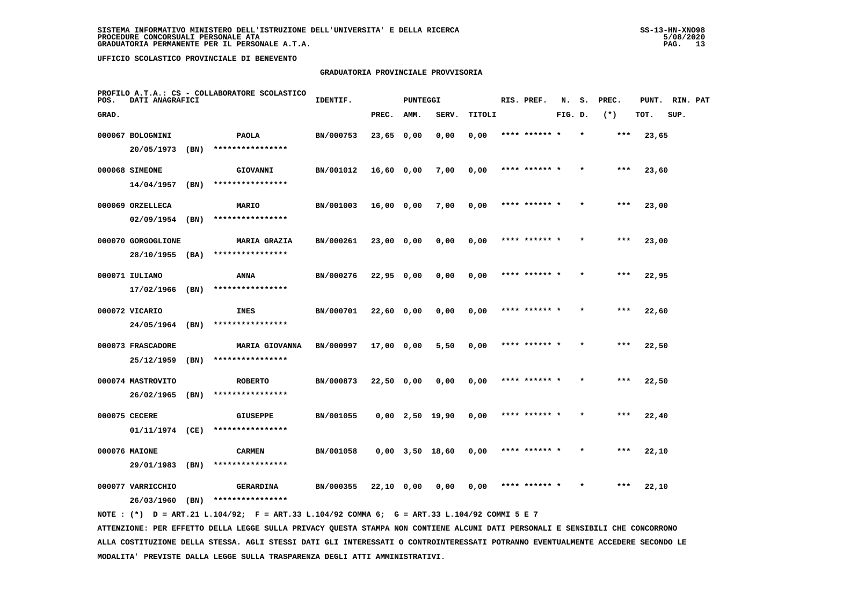# **GRADUATORIA PROVINCIALE PROVVISORIA**

| PROFILO A.T.A.: CS - COLLABORATORE SCOLASTICO<br>POS.<br>DATI ANAGRAFICI |                                 |      | IDENTIF.                                  |           |              | <b>PUNTEGGI</b> |                       |        | RIS. PREF. | N.            | s.<br>PREC. |         | PUNT. | RIN. PAT |      |  |
|--------------------------------------------------------------------------|---------------------------------|------|-------------------------------------------|-----------|--------------|-----------------|-----------------------|--------|------------|---------------|-------------|---------|-------|----------|------|--|
| GRAD.                                                                    |                                 |      |                                           |           | PREC.        | AMM.            | SERV.                 | TITOLI |            |               | FIG. D.     |         | $(*)$ | TOT.     | SUP. |  |
|                                                                          | 000067 BOLOGNINI                |      | <b>PAOLA</b>                              | BN/000753 | $23,65$ 0,00 |                 | 0,00                  | 0,00   |            | **** ****** * |             | $\star$ | ***   | 23,65    |      |  |
|                                                                          | 20/05/1973                      | (BN) | ****************                          |           |              |                 |                       |        |            |               |             |         |       |          |      |  |
|                                                                          | 000068 SIMEONE                  |      | GIOVANNI                                  | BN/001012 | $16,60$ 0,00 |                 | 7,00                  | 0,00   |            |               |             |         | ***   | 23,60    |      |  |
|                                                                          | 14/04/1957                      | (BN) | ****************                          |           |              |                 |                       |        |            |               |             |         |       |          |      |  |
|                                                                          | 000069 ORZELLECA                |      | MARIO                                     | BN/001003 | $16,00$ 0,00 |                 | 7,00                  | 0,00   |            | **** ****** * |             |         | $***$ | 23,00    |      |  |
|                                                                          | 02/09/1954                      | (BN) | ****************                          |           |              |                 |                       |        |            |               |             |         |       |          |      |  |
|                                                                          | 000070 GORGOGLIONE              |      | <b>MARIA GRAZIA</b>                       | BN/000261 | 23,00 0,00   |                 | 0,00                  | 0,00   |            | **** ****** * |             | $\star$ | ***   | 23,00    |      |  |
|                                                                          | 28/10/1955                      | (BA) | ****************                          |           |              |                 |                       |        |            |               |             |         |       |          |      |  |
|                                                                          | 000071 IULIANO                  |      | ANNA                                      | BN/000276 | 22,95 0,00   |                 | 0,00                  | 0,00   |            | **** ****** * |             |         | $***$ | 22,95    |      |  |
|                                                                          | 17/02/1966                      | (BN) | ****************                          |           |              |                 |                       |        |            |               |             |         |       |          |      |  |
|                                                                          | 000072 VICARIO                  |      | INES<br>****************                  | BN/000701 | 22,60 0,00   |                 | 0,00                  | 0,00   |            | **** ****** * |             |         | ***   | 22,60    |      |  |
|                                                                          | 24/05/1964 (BN)                 |      |                                           |           |              |                 |                       |        |            |               |             |         |       |          |      |  |
|                                                                          | 000073 FRASCADORE<br>25/12/1959 | (BN) | <b>MARIA GIOVANNA</b><br>**************** | BN/000997 | 17,00 0,00   |                 | 5,50                  | 0,00   |            | **** ****** * |             |         | ***   | 22,50    |      |  |
|                                                                          |                                 |      |                                           |           |              |                 |                       |        |            |               |             |         |       |          |      |  |
|                                                                          | 000074 MASTROVITO<br>26/02/1965 | (BN) | <b>ROBERTO</b><br>****************        | BN/000873 | 22,50 0,00   |                 | 0,00                  | 0,00   |            | **** ****** * |             |         | $***$ | 22,50    |      |  |
|                                                                          | 000075 CECERE                   |      |                                           |           |              |                 |                       |        |            |               |             |         | ***   |          |      |  |
|                                                                          | 01/11/1974 (CE)                 |      | <b>GIUSEPPE</b><br>****************       | BN/001055 |              |                 | $0,00$ 2,50 19,90     | 0,00   |            |               |             |         |       | 22,40    |      |  |
|                                                                          | 000076 MAIONE                   |      | <b>CARMEN</b>                             | BN/001058 |              |                 | $0,00$ $3,50$ $18,60$ | 0,00   |            | **** ****** * |             |         | $***$ | 22,10    |      |  |
|                                                                          | 29/01/1983                      | (BN) | ****************                          |           |              |                 |                       |        |            |               |             |         |       |          |      |  |
|                                                                          | 000077 VARRICCHIO               |      | GERARDINA                                 | BN/000355 | 22,10 0,00   |                 | 0,00                  | 0,00   |            | **** ****** * |             |         | ***   | 22,10    |      |  |
|                                                                          | 26/03/1960                      | (BN) | ****************                          |           |              |                 |                       |        |            |               |             |         |       |          |      |  |
|                                                                          |                                 |      |                                           |           |              |                 |                       |        |            |               |             |         |       |          |      |  |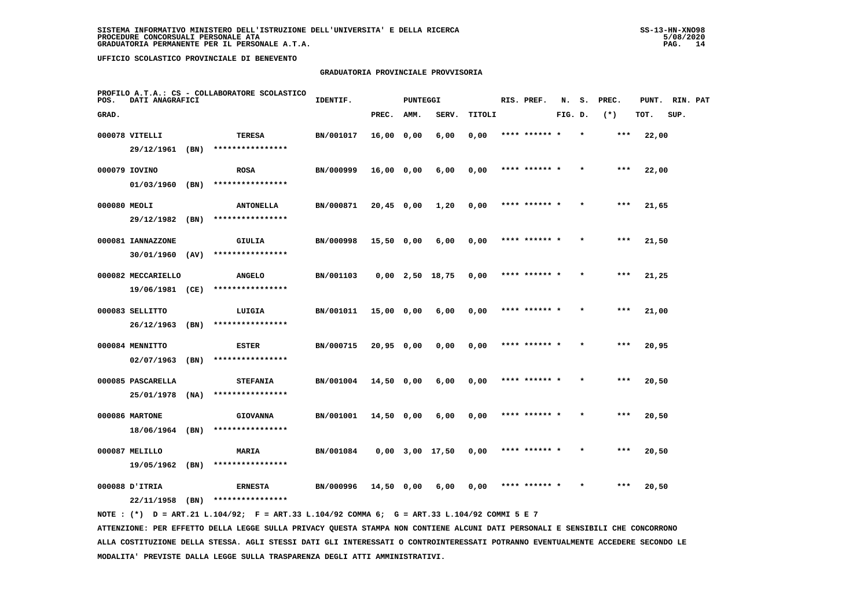# **GRADUATORIA PROVINCIALE PROVVISORIA**

| PROFILO A.T.A.: CS - COLLABORATORE SCOLASTICO<br>DATI ANAGRAFICI<br>POS. |                    |      |                                    | IDENTIF.<br>PUNTEGGI |              |      |                       | RIS. PREF. | N.            | s.      | PREC.   | PUNT. | RIN. PAT |      |  |
|--------------------------------------------------------------------------|--------------------|------|------------------------------------|----------------------|--------------|------|-----------------------|------------|---------------|---------|---------|-------|----------|------|--|
| GRAD.                                                                    |                    |      |                                    |                      | PREC.        | AMM. | SERV.                 | TITOLI     |               | FIG. D. |         | $(*)$ | TOT.     | SUP. |  |
|                                                                          | 000078 VITELLI     |      | TERESA                             | BN/001017            | 16,00 0,00   |      | 6,00                  | 0,00       | **** ******   |         |         | ***   | 22,00    |      |  |
|                                                                          | 29/12/1961 (BN)    |      | ****************                   |                      |              |      |                       |            |               |         |         |       |          |      |  |
|                                                                          | 000079 IOVINO      |      | <b>ROSA</b>                        | BN/000999            | $16,00$ 0,00 |      | 6,00                  | 0,00       | **** ****** * |         |         | ***   | 22,00    |      |  |
|                                                                          | 01/03/1960         | (BN) | ****************                   |                      |              |      |                       |            |               |         |         |       |          |      |  |
| 000080 MEOLI                                                             |                    |      | <b>ANTONELLA</b>                   | BN/000871            | $20,45$ 0,00 |      | 1,20                  | 0,00       | **** ****** * |         | $\star$ | ***   | 21,65    |      |  |
|                                                                          | 29/12/1982         | (BN) | ****************                   |                      |              |      |                       |            |               |         |         |       |          |      |  |
|                                                                          | 000081 IANNAZZONE  |      | GIULIA                             | BN/000998            | 15,50 0,00   |      | 6,00                  | 0,00       | **** ****** * |         |         | $***$ | 21,50    |      |  |
|                                                                          | 30/01/1960         | (AV) | ****************                   |                      |              |      |                       |            |               |         |         |       |          |      |  |
|                                                                          | 000082 MECCARIELLO |      | <b>ANGELO</b>                      | BN/001103            |              |      | $0,00$ 2,50 18,75     | 0,00       | **** ****** * |         |         | $***$ | 21,25    |      |  |
|                                                                          | 19/06/1981 (CE)    |      | ****************                   |                      |              |      |                       |            |               |         |         |       |          |      |  |
|                                                                          | 000083 SELLITTO    |      | LUIGIA                             | BN/001011            | 15,00 0,00   |      | 6,00                  | 0,00       | **** ****** * |         | $\star$ | $***$ | 21,00    |      |  |
|                                                                          | 26/12/1963         | (BN) | ****************                   |                      |              |      |                       |            |               |         |         |       |          |      |  |
|                                                                          | 000084 MENNITTO    |      | <b>ESTER</b>                       | BN/000715            | $20,95$ 0,00 |      | 0,00                  | 0,00       |               |         |         | $***$ | 20,95    |      |  |
|                                                                          | 02/07/1963         | (BN) | ****************                   |                      |              |      |                       |            |               |         |         |       |          |      |  |
|                                                                          | 000085 PASCARELLA  |      | <b>STEFANIA</b>                    | BN/001004            | $14,50$ 0,00 |      | 6,00                  | 0,00       | **** ****** * |         |         | $***$ | 20,50    |      |  |
|                                                                          | 25/01/1978         | (NA) | ****************                   |                      |              |      |                       |            |               |         |         |       |          |      |  |
|                                                                          | 000086 MARTONE     |      | <b>GIOVANNA</b>                    | BN/001001            | $14,50$ 0,00 |      | 6,00                  | 0,00       | **** ****** * |         | $\star$ | ***   | 20,50    |      |  |
|                                                                          | 18/06/1964         | (BN) | ****************                   |                      |              |      |                       |            |               |         |         |       |          |      |  |
|                                                                          | 000087 MELILLO     |      | <b>MARIA</b>                       | BN/001084            |              |      | $0,00$ $3,00$ $17,50$ | 0,00       | **** ****** * |         |         | $***$ | 20,50    |      |  |
|                                                                          | 19/05/1962         | (BN) | ****************                   |                      |              |      |                       |            |               |         |         |       |          |      |  |
|                                                                          | 000088 D'ITRIA     |      | <b>ERNESTA</b><br>**************** | BN/000996            | 14,50 0,00   |      | 6,00                  | 0,00       | **** ****** * |         |         | ***   | 20,50    |      |  |
|                                                                          | 22/11/1958         | (BN) |                                    |                      |              |      |                       |            |               |         |         |       |          |      |  |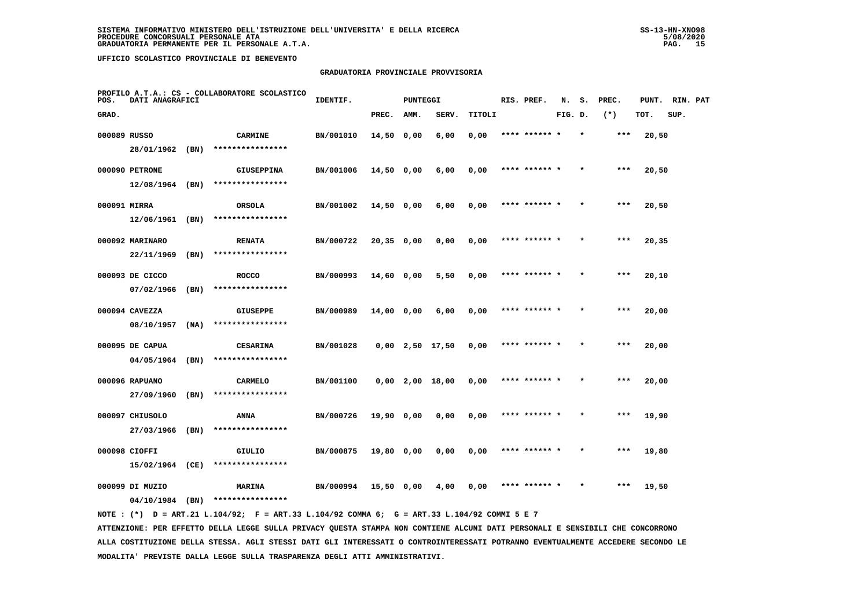# **GRADUATORIA PROVINCIALE PROVVISORIA**

| PROFILO A.T.A.: CS - COLLABORATORE SCOLASTICO<br>DATI ANAGRAFICI<br>POS. |                 |      |                   | IDENTIF.<br>PUNTEGGI |              |      |                       | RIS. PREF. | N.            | s.      | PREC. | PUNT. | RIN. PAT |      |  |
|--------------------------------------------------------------------------|-----------------|------|-------------------|----------------------|--------------|------|-----------------------|------------|---------------|---------|-------|-------|----------|------|--|
| GRAD.                                                                    |                 |      |                   |                      | PREC.        | AMM. | SERV.                 | TITOLI     |               | FIG. D. |       | $(*)$ | TOT.     | SUP. |  |
| 000089 RUSSO                                                             |                 |      | <b>CARMINE</b>    | BN/001010            | $14,50$ 0,00 |      | 6,00                  | 0,00       | **** ******   |         |       | ***   | 20,50    |      |  |
|                                                                          | 28/01/1962 (BN) |      | ****************  |                      |              |      |                       |            |               |         |       |       |          |      |  |
|                                                                          | 000090 PETRONE  |      | <b>GIUSEPPINA</b> | BN/001006            | 14,50 0,00   |      | 6,00                  | 0,00       | **** ****** * |         |       | $***$ | 20,50    |      |  |
|                                                                          | 12/08/1964      | (BN) | ****************  |                      |              |      |                       |            |               |         |       |       |          |      |  |
| 000091 MIRRA                                                             |                 |      | ORSOLA            | BN/001002            | 14,50 0,00   |      | 6,00                  | 0,00       | **** ****** * |         |       | ***   | 20,50    |      |  |
|                                                                          | 12/06/1961      | (BN) | ****************  |                      |              |      |                       |            |               |         |       |       |          |      |  |
|                                                                          | 000092 MARINARO |      | <b>RENATA</b>     | BN/000722            | $20,35$ 0,00 |      | 0,00                  | 0,00       | **** ****** * |         |       | $***$ | 20,35    |      |  |
|                                                                          | 22/11/1969      | (BN) | ****************  |                      |              |      |                       |            |               |         |       |       |          |      |  |
|                                                                          | 000093 DE CICCO |      | <b>ROCCO</b>      | BN/000993            | $14,60$ 0,00 |      | 5,50                  | 0,00       | **** ****** * |         |       | $***$ | 20,10    |      |  |
|                                                                          | 07/02/1966      | (BN) | ****************  |                      |              |      |                       |            |               |         |       |       |          |      |  |
|                                                                          | 000094 CAVEZZA  |      | <b>GIUSEPPE</b>   | BN/000989            | 14,00 0,00   |      | 6,00                  | 0,00       | **** ****** * |         |       | $***$ | 20,00    |      |  |
|                                                                          | 08/10/1957      | (NA) | ****************  |                      |              |      |                       |            |               |         |       |       |          |      |  |
|                                                                          | 000095 DE CAPUA |      | <b>CESARINA</b>   | BN/001028            |              |      | $0,00$ 2,50 17,50     | 0,00       |               |         |       | ***   | 20,00    |      |  |
|                                                                          | 04/05/1964      | (BN) | ****************  |                      |              |      |                       |            |               |         |       |       |          |      |  |
|                                                                          | 000096 RAPUANO  |      | <b>CARMELO</b>    | BN/001100            |              |      | $0,00$ $2,00$ $18,00$ | 0,00       | **** ******   |         |       | ***   | 20,00    |      |  |
|                                                                          | 27/09/1960      | (BN) | ****************  |                      |              |      |                       |            |               |         |       |       |          |      |  |
|                                                                          | 000097 CHIUSOLO |      | <b>ANNA</b>       | BN/000726            | $19,90$ 0,00 |      | 0,00                  | 0,00       | **** ****** * |         |       | ***   | 19,90    |      |  |
|                                                                          | 27/03/1966      | (BN) | ****************  |                      |              |      |                       |            |               |         |       |       |          |      |  |
|                                                                          | 000098 CIOFFI   |      | GIULIO            | BN/000875            | 19,80 0,00   |      | 0,00                  | 0,00       | **** ****** * |         |       | ***   | 19,80    |      |  |
|                                                                          | 15/02/1964 (CE) |      | ****************  |                      |              |      |                       |            |               |         |       |       |          |      |  |
|                                                                          | 000099 DI MUZIO |      | MARINA            | BN/000994            | 15,50 0,00   |      | 4,00                  | 0,00       |               |         |       | ***   | 19,50    |      |  |
|                                                                          | 04/10/1984      | (BN) | ****************  |                      |              |      |                       |            |               |         |       |       |          |      |  |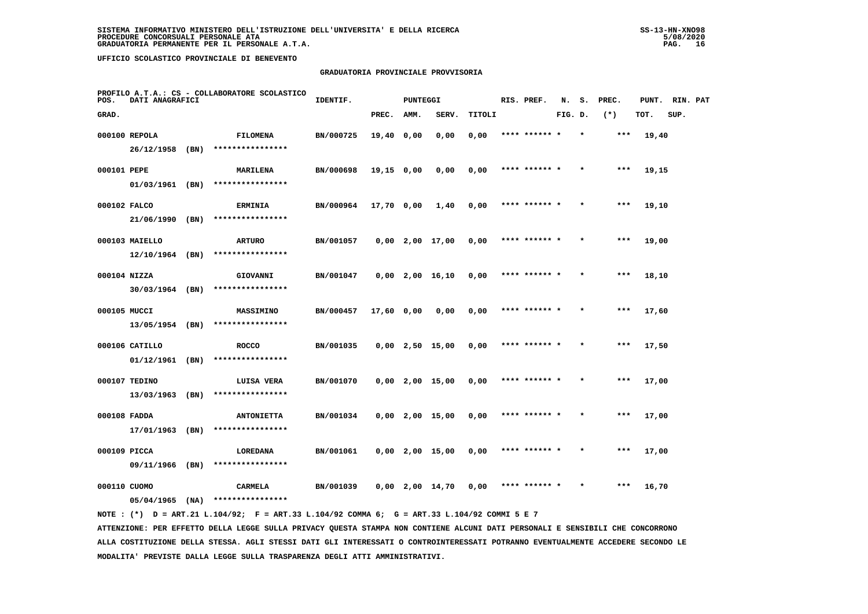# **GRADUATORIA PROVINCIALE PROVVISORIA**

| PROFILO A.T.A.: CS - COLLABORATORE SCOLASTICO<br>POS.<br>DATI ANAGRAFICI |                   |      | IDENTIF.<br><b>PUNTEGGI</b><br>RIS. PREF. |           |            |      |                   | N.     | s.            | PREC.   | PUNT. | RIN. PAT |       |      |  |
|--------------------------------------------------------------------------|-------------------|------|-------------------------------------------|-----------|------------|------|-------------------|--------|---------------|---------|-------|----------|-------|------|--|
| GRAD.                                                                    |                   |      |                                           |           | PREC.      | AMM. | SERV.             | TITOLI |               | FIG. D. |       | $(*)$    | TOT.  | SUP. |  |
|                                                                          | 000100 REPOLA     |      | FILOMENA                                  | BN/000725 | 19,40 0,00 |      | 0,00              | 0,00   | **** ****** * |         |       | ***      | 19,40 |      |  |
|                                                                          | 26/12/1958 (BN)   |      | ****************                          |           |            |      |                   |        |               |         |       |          |       |      |  |
| 000101 PEPE                                                              |                   |      | <b>MARILENA</b>                           | BN/000698 | 19,15 0,00 |      | 0,00              | 0,00   | **** ****** * |         |       | ***      | 19,15 |      |  |
|                                                                          | $01/03/1961$ (BN) |      | ****************                          |           |            |      |                   |        |               |         |       |          |       |      |  |
| 000102 FALCO                                                             |                   |      | <b>ERMINIA</b>                            | BN/000964 | 17,70 0,00 |      | 1,40              | 0,00   | **** ****** * |         |       | $***$    | 19,10 |      |  |
|                                                                          | 21/06/1990        | (BN) | ****************                          |           |            |      |                   |        |               |         |       |          |       |      |  |
|                                                                          | 000103 MAIELLO    |      | <b>ARTURO</b>                             | BN/001057 |            |      | $0,00$ 2,00 17,00 | 0,00   | **** ****** * |         |       | ***      | 19,00 |      |  |
|                                                                          | $12/10/1964$ (BN) |      | ****************                          |           |            |      |                   |        |               |         |       |          |       |      |  |
| 000104 NIZZA                                                             |                   |      | GIOVANNI                                  | BN/001047 |            |      | $0,00$ 2,00 16,10 | 0,00   | **** ****** * |         |       | ***      | 18,10 |      |  |
|                                                                          | $30/03/1964$ (BN) |      | ****************                          |           |            |      |                   |        |               |         |       |          |       |      |  |
| 000105 MUCCI                                                             |                   |      | <b>MASSIMINO</b>                          | BN/000457 | 17,60 0,00 |      | 0,00              | 0,00   | **** ****** * |         |       | $***$    | 17,60 |      |  |
|                                                                          | 13/05/1954 (BN)   |      | ****************                          |           |            |      |                   |        |               |         |       |          |       |      |  |
|                                                                          | 000106 CATILLO    |      | <b>ROCCO</b>                              | BN/001035 |            |      | $0,00$ 2,50 15,00 | 0,00   | **** ****** * |         |       | $***$    | 17,50 |      |  |
|                                                                          | $01/12/1961$ (BN) |      | ****************                          |           |            |      |                   |        |               |         |       |          |       |      |  |
|                                                                          | 000107 TEDINO     |      | LUISA VERA                                | BN/001070 |            |      | $0,00$ 2,00 15,00 | 0,00   | **** ****** * |         |       | $***$    | 17,00 |      |  |
|                                                                          | 13/03/1963 (BN)   |      | ****************                          |           |            |      |                   |        |               |         |       |          |       |      |  |
| 000108 FADDA                                                             |                   |      | <b>ANTONIETTA</b>                         | BN/001034 |            |      | $0,00$ 2,00 15,00 | 0,00   | **** ****** * |         |       | $***$    | 17,00 |      |  |
|                                                                          | 17/01/1963        | (BN) | ****************                          |           |            |      |                   |        |               |         |       |          |       |      |  |
| 000109 PICCA                                                             |                   |      | LOREDANA                                  | BN/001061 |            |      | $0,00$ 2,00 15,00 | 0,00   | **** ****** * |         |       | ***      | 17,00 |      |  |
|                                                                          | 09/11/1966        | (BN) | ****************                          |           |            |      |                   |        |               |         |       |          |       |      |  |
| 000110 CUOMO                                                             |                   |      | CARMELA                                   | BN/001039 |            |      | $0,00$ 2,00 14,70 | 0,00   | **** ****** * |         |       | ***      | 16,70 |      |  |
|                                                                          | $05/04/1965$ (NA) |      | ****************                          |           |            |      |                   |        |               |         |       |          |       |      |  |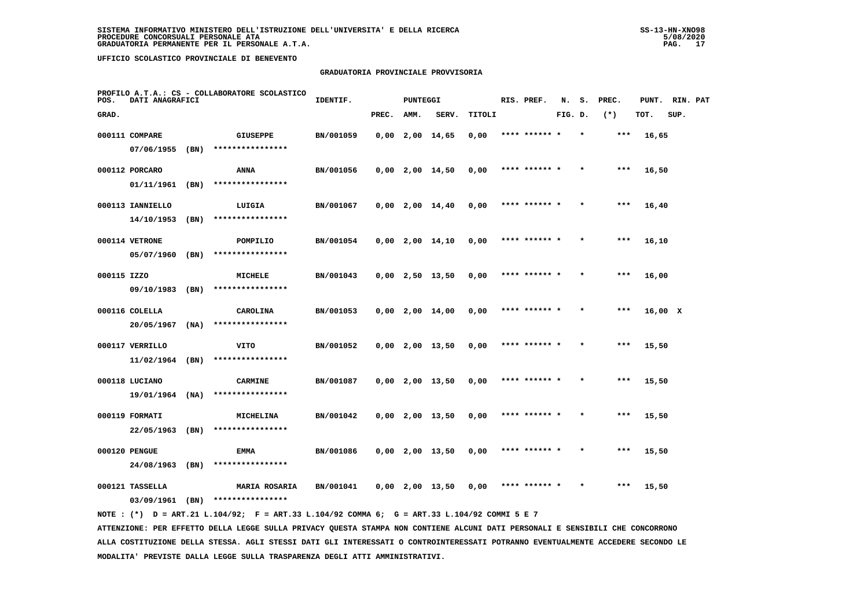# **GRADUATORIA PROVINCIALE PROVVISORIA**

| PROFILO A.T.A.: CS - COLLABORATORE SCOLASTICO<br>POS.<br>DATI ANAGRAFICI |                  |      |                               | IDENTIF.<br><b>PUNTEGGI</b> |       |      |                   |        |  | RIS. PREF.    | N.      | s.      | PREC. | PUNT.   | RIN. PAT |  |
|--------------------------------------------------------------------------|------------------|------|-------------------------------|-----------------------------|-------|------|-------------------|--------|--|---------------|---------|---------|-------|---------|----------|--|
| GRAD.                                                                    |                  |      |                               |                             | PREC. | AMM. | SERV.             | TITOLI |  |               | FIG. D. |         | $(*)$ | TOT.    | SUP.     |  |
|                                                                          | 000111 COMPARE   |      | <b>GIUSEPPE</b>               | BN/001059                   |       |      | $0,00$ 2,00 14,65 | 0,00   |  | **** ****** * |         | $\star$ | ***   | 16,65   |          |  |
|                                                                          | 07/06/1955       | (BN) | ****************              |                             |       |      |                   |        |  |               |         |         |       |         |          |  |
|                                                                          | 000112 PORCARO   |      | ANNA                          | BN/001056                   |       |      | $0,00$ 2,00 14,50 | 0,00   |  | **** ****** * |         |         | ***   | 16,50   |          |  |
|                                                                          | 01/11/1961       | (BN) | ****************              |                             |       |      |                   |        |  |               |         |         |       |         |          |  |
|                                                                          | 000113 IANNIELLO |      | LUIGIA                        | BN/001067                   |       |      | $0,00$ 2,00 14,40 | 0,00   |  | **** ****** * |         |         | $***$ | 16,40   |          |  |
|                                                                          | 14/10/1953       | (BN) | ****************              |                             |       |      |                   |        |  |               |         |         |       |         |          |  |
|                                                                          | 000114 VETRONE   |      | POMPILIO                      | BN/001054                   |       |      | $0,00$ 2,00 14,10 | 0,00   |  | **** ****** * |         |         | ***   | 16,10   |          |  |
|                                                                          | 05/07/1960       | (BN) | ****************              |                             |       |      |                   |        |  |               |         |         |       |         |          |  |
| 000115 IZZO                                                              |                  |      | MICHELE                       | BN/001043                   |       |      | $0,00$ 2,50 13,50 | 0,00   |  | **** ****** * |         |         | ***   | 16,00   |          |  |
|                                                                          | 09/10/1983 (BN)  |      | ****************              |                             |       |      |                   |        |  |               |         |         |       |         |          |  |
|                                                                          | 000116 COLELLA   |      | CAROLINA                      | BN/001053                   |       |      | $0,00$ 2,00 14,00 | 0,00   |  | **** ****** * |         |         | $***$ | 16,00 X |          |  |
|                                                                          | 20/05/1967       | (NA) | ****************              |                             |       |      |                   |        |  |               |         |         |       |         |          |  |
|                                                                          | 000117 VERRILLO  |      | VITO                          | BN/001052                   |       |      | $0,00$ 2,00 13,50 | 0,00   |  | **** ****** * |         |         | ***   | 15,50   |          |  |
|                                                                          | 11/02/1964       | (BN) | ****************              |                             |       |      |                   |        |  |               |         |         |       |         |          |  |
|                                                                          | 000118 LUCIANO   |      | <b>CARMINE</b>                | BN/001087                   |       |      | $0,00$ 2,00 13,50 | 0,00   |  | **** ****** * |         |         | $***$ | 15,50   |          |  |
|                                                                          | 19/01/1964 (NA)  |      | ****************              |                             |       |      |                   |        |  |               |         |         |       |         |          |  |
|                                                                          | 000119 FORMATI   |      | MICHELINA<br>**************** | BN/001042                   |       |      | $0,00$ 2,00 13,50 | 0,00   |  | **** ****** * |         |         | $***$ | 15,50   |          |  |
|                                                                          | 22/05/1963       | (BN) |                               |                             |       |      |                   |        |  |               |         |         |       |         |          |  |
|                                                                          | 000120 PENGUE    |      | EMMA                          | BN/001086                   |       |      | $0,00$ 2,00 13,50 | 0,00   |  | **** ****** * |         |         | ***   | 15,50   |          |  |
|                                                                          | 24/08/1963       | (BN) | ****************              |                             |       |      |                   |        |  |               |         |         |       |         |          |  |
|                                                                          | 000121 TASSELLA  |      | <b>MARIA ROSARIA</b>          | BN/001041                   |       |      | $0,00$ 2,00 13,50 | 0,00   |  | **** ****** * |         |         | ***   | 15,50   |          |  |
|                                                                          | 03/09/1961 (BN)  |      | ****************              |                             |       |      |                   |        |  |               |         |         |       |         |          |  |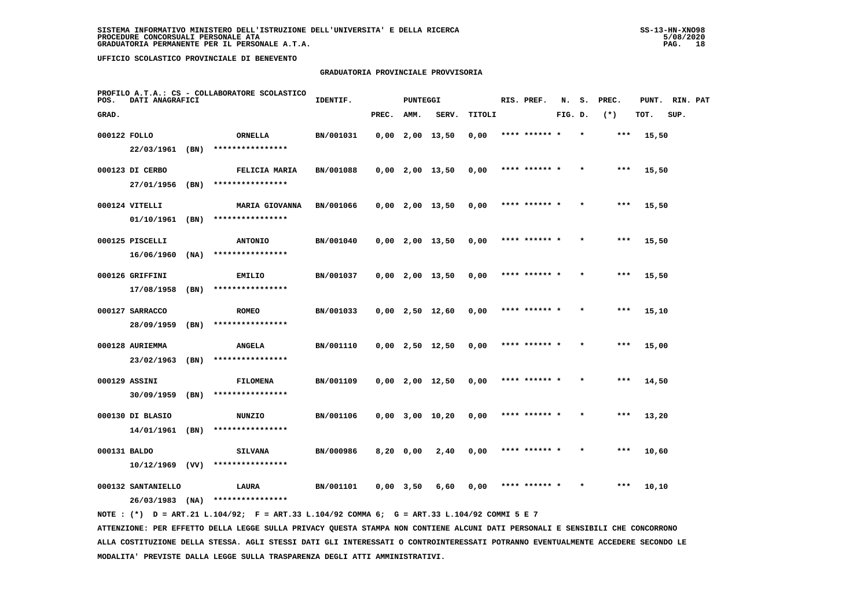## **GRADUATORIA PROVINCIALE PROVVISORIA**

| POS.         | DATI ANAGRAFICI                | PROFILO A.T.A.: CS - COLLABORATORE SCOLASTICO | IDENTIF.<br><b>PUNTEGGI</b>         |           |             |      |                       |        | RIS. PREF. | N.            | s.      | PREC.   | PUNT. | RIN. PAT |      |  |
|--------------|--------------------------------|-----------------------------------------------|-------------------------------------|-----------|-------------|------|-----------------------|--------|------------|---------------|---------|---------|-------|----------|------|--|
| GRAD.        |                                |                                               |                                     |           | PREC.       | AMM. | SERV.                 | TITOLI |            |               | FIG. D. |         | $(*)$ | TOT.     | SUP. |  |
| 000122 FOLLO |                                |                                               | ORNELLA                             | BN/001031 |             |      | $0,00$ 2,00 13,50     | 0,00   |            | **** ****** * |         | $\star$ | ***   | 15,50    |      |  |
|              | 22/03/1961 (BN)                |                                               | ****************                    |           |             |      |                       |        |            |               |         |         |       |          |      |  |
|              | 000123 DI CERBO                |                                               | FELICIA MARIA                       | BN/001088 |             |      | $0,00$ 2,00 13,50     | 0,00   |            | **** ****** * |         |         | ***   | 15,50    |      |  |
|              | 27/01/1956                     | (BN)                                          | ****************                    |           |             |      |                       |        |            |               |         |         |       |          |      |  |
|              | 000124 VITELLI                 |                                               | <b>MARIA GIOVANNA</b>               | BN/001066 |             |      | $0,00$ 2,00 13,50     | 0,00   |            | **** ****** * |         |         | $***$ | 15,50    |      |  |
|              | 01/10/1961                     | (BN)                                          | ****************                    |           |             |      |                       |        |            |               |         |         |       |          |      |  |
|              | 000125 PISCELLI                |                                               | <b>ANTONIO</b>                      | BN/001040 |             |      | $0,00$ 2,00 13,50     | 0,00   |            | **** ****** * |         |         | ***   | 15,50    |      |  |
|              | 16/06/1960                     | (NA)                                          | ****************                    |           |             |      |                       |        |            |               |         |         |       |          |      |  |
|              | 000126 GRIFFINI                |                                               | EMILIO                              | BN/001037 |             |      | $0,00$ 2,00 13,50     | 0,00   |            | **** ****** * |         |         | $***$ | 15,50    |      |  |
|              | 17/08/1958                     | (BN)                                          | ****************                    |           |             |      |                       |        |            |               |         |         |       |          |      |  |
|              | 000127 SARRACCO                |                                               | <b>ROMEO</b><br>****************    | BN/001033 |             |      | $0,00$ 2,50 12,60     | 0,00   |            | **** ****** * |         |         | ***   | 15,10    |      |  |
|              | 28/09/1959                     | (BN)                                          |                                     |           |             |      |                       |        |            |               |         |         |       |          |      |  |
|              | 000128 AURIEMMA<br>23/02/1963  | (BN)                                          | <b>ANGELA</b><br>****************   | BN/001110 |             |      | $0,00$ 2,50 12,50     | 0,00   |            | **** ****** * |         | $\star$ | ***   | 15,00    |      |  |
|              |                                |                                               |                                     |           |             |      |                       |        |            |               |         |         |       |          |      |  |
|              | 000129 ASSINI<br>30/09/1959    | (BN)                                          | <b>FILOMENA</b><br>**************** | BN/001109 |             |      | $0,00$ 2,00 12,50     | 0,00   |            | **** ******   |         |         | ***   | 14,50    |      |  |
|              |                                |                                               |                                     |           |             |      |                       |        |            | **** ****** * |         |         | ***   |          |      |  |
|              | 000130 DI BLASIO<br>14/01/1961 | (BN)                                          | <b>NUNZIO</b><br>****************   | BN/001106 |             |      | $0,00$ $3,00$ $10,20$ | 0,00   |            |               |         |         |       | 13,20    |      |  |
| 000131 BALDO |                                |                                               | <b>SILVANA</b>                      | BN/000986 | $8,20$ 0,00 |      | 2,40                  | 0,00   |            | **** ****** * |         |         | $***$ | 10,60    |      |  |
|              | 10/12/1969                     | (VV)                                          | ****************                    |           |             |      |                       |        |            |               |         |         |       |          |      |  |
|              | 000132 SANTANIELLO             |                                               | LAURA                               | BN/001101 | $0,00$ 3,50 |      | 6,60                  | 0,00   |            | **** ****** * |         |         | ***   | 10,10    |      |  |
|              | 26/03/1983                     | (NA)                                          | ****************                    |           |             |      |                       |        |            |               |         |         |       |          |      |  |
|              |                                |                                               |                                     |           |             |      |                       |        |            |               |         |         |       |          |      |  |